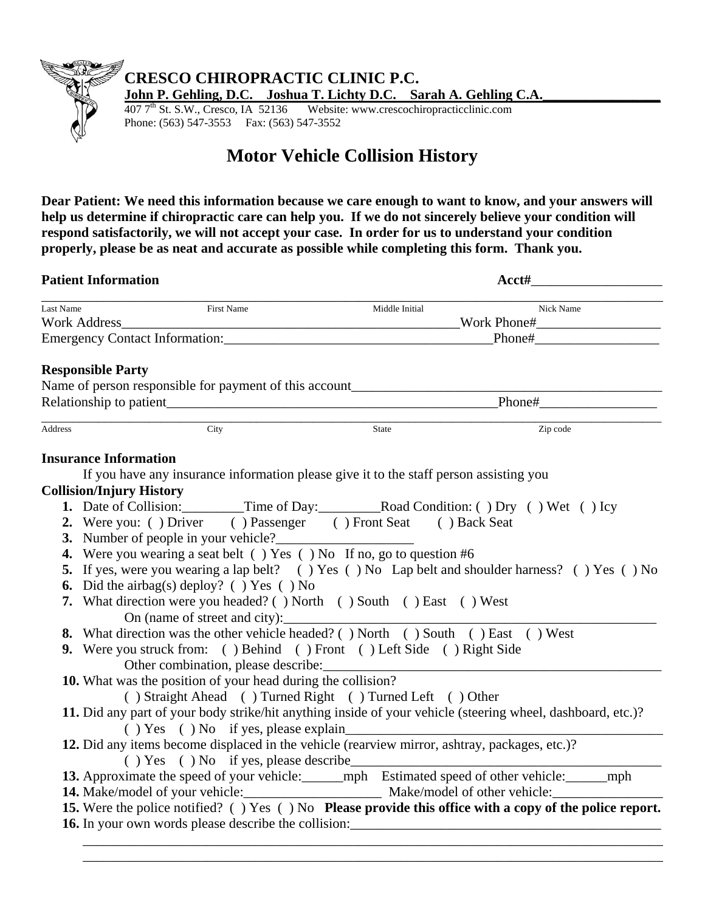

## **CRESCO CHIROPRACTIC CLINIC P.C.**

**John P. Gehling, D.C.** Joshua T. Lichty D.C. Sarah A. Gehling C.A. 407 7<sup>th</sup> St. S.W., Cresco, IA 52136 Website: www.crescochiropracticclinic.com

Website: www.crescochiropracticclinic.com Phone: (563) 547-3553 Fax: (563) 547-3552

## **Motor Vehicle Collision History**

**Dear Patient: We need this information because we care enough to want to know, and your answers will help us determine if chiropractic care can help you. If we do not sincerely believe your condition will respond satisfactorily, we will not accept your case. In order for us to understand your condition properly, please be as neat and accurate as possible while completing this form. Thank you.** 

| <b>Patient Information</b> |                                 |                                                                                               |                           |                                                                                                             |  |
|----------------------------|---------------------------------|-----------------------------------------------------------------------------------------------|---------------------------|-------------------------------------------------------------------------------------------------------------|--|
| Last Name                  |                                 | <b>First Name</b>                                                                             | Middle Initial            | Nick Name                                                                                                   |  |
|                            |                                 |                                                                                               |                           |                                                                                                             |  |
|                            |                                 |                                                                                               |                           |                                                                                                             |  |
|                            | <b>Responsible Party</b>        |                                                                                               |                           |                                                                                                             |  |
|                            |                                 |                                                                                               |                           |                                                                                                             |  |
|                            |                                 |                                                                                               |                           |                                                                                                             |  |
| Address                    |                                 | City                                                                                          | $\overline{\text{State}}$ | Zip code                                                                                                    |  |
|                            | <b>Insurance Information</b>    |                                                                                               |                           |                                                                                                             |  |
|                            |                                 | If you have any insurance information please give it to the staff person assisting you        |                           |                                                                                                             |  |
|                            | <b>Collision/Injury History</b> |                                                                                               |                           |                                                                                                             |  |
|                            |                                 |                                                                                               |                           | 1. Date of Collision: ________Time of Day: __________Road Condition: () Dry () Wet () Icy                   |  |
|                            |                                 | 2. Were you: () Driver () Passenger () Front Seat () Back Seat                                |                           |                                                                                                             |  |
|                            |                                 | 3. Number of people in your vehicle?                                                          |                           |                                                                                                             |  |
|                            |                                 | 4. Were you wearing a seat belt () Yes () No If no, go to question #6                         |                           |                                                                                                             |  |
|                            |                                 |                                                                                               |                           | 5. If yes, were you wearing a lap belt? () Yes () No Lap belt and shoulder harness? () Yes () No            |  |
|                            |                                 | 6. Did the airbag(s) deploy? () Yes () No                                                     |                           |                                                                                                             |  |
|                            |                                 | 7. What direction were you headed? () North () South () East () West                          |                           |                                                                                                             |  |
|                            |                                 | On (name of street and city):                                                                 |                           |                                                                                                             |  |
|                            |                                 | 8. What direction was the other vehicle headed? () North () South () East () West             |                           |                                                                                                             |  |
|                            |                                 | 9. Were you struck from: () Behind () Front () Left Side () Right Side                        |                           |                                                                                                             |  |
|                            |                                 | Other combination, please describe:                                                           |                           |                                                                                                             |  |
|                            |                                 | 10. What was the position of your head during the collision?                                  |                           |                                                                                                             |  |
|                            |                                 | () Straight Ahead () Turned Right () Turned Left () Other                                     |                           |                                                                                                             |  |
|                            |                                 |                                                                                               |                           | 11. Did any part of your body strike/hit anything inside of your vehicle (steering wheel, dashboard, etc.)? |  |
|                            |                                 |                                                                                               |                           |                                                                                                             |  |
|                            |                                 | 12. Did any items become displaced in the vehicle (rearview mirror, ashtray, packages, etc.)? |                           |                                                                                                             |  |
|                            |                                 |                                                                                               |                           |                                                                                                             |  |
|                            |                                 |                                                                                               |                           | 13. Approximate the speed of your vehicle: ______ mph Estimated speed of other vehicle: _____ mph           |  |
|                            |                                 |                                                                                               |                           | 14. Make/model of your vehicle: Make/model of other vehicle:                                                |  |
|                            |                                 |                                                                                               |                           | 15. Were the police notified? () Yes () No Please provide this office with a copy of the police report.     |  |
|                            |                                 |                                                                                               |                           | 16. In your own words please describe the collision:<br><u>equal</u> to the collision:                      |  |
|                            |                                 |                                                                                               |                           |                                                                                                             |  |

\_\_\_\_\_\_\_\_\_\_\_\_\_\_\_\_\_\_\_\_\_\_\_\_\_\_\_\_\_\_\_\_\_\_\_\_\_\_\_\_\_\_\_\_\_\_\_\_\_\_\_\_\_\_\_\_\_\_\_\_\_\_\_\_\_\_\_\_\_\_\_\_\_\_\_\_\_\_\_\_\_\_\_\_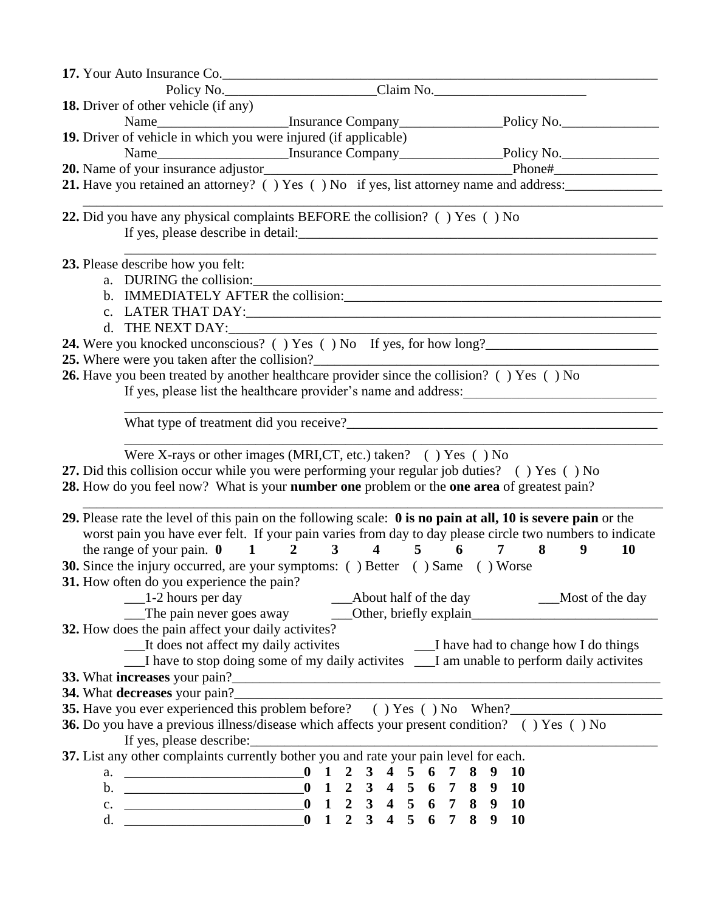| 17. Your Auto Insurance Co.                        |                                                                                                                                                       |                                                                                                                                |
|----------------------------------------------------|-------------------------------------------------------------------------------------------------------------------------------------------------------|--------------------------------------------------------------------------------------------------------------------------------|
|                                                    | Policy No. Claim No.                                                                                                                                  |                                                                                                                                |
| <b>18.</b> Driver of other vehicle (if any)        |                                                                                                                                                       |                                                                                                                                |
|                                                    |                                                                                                                                                       |                                                                                                                                |
|                                                    | 19. Driver of vehicle in which you were injured (if applicable)                                                                                       |                                                                                                                                |
|                                                    |                                                                                                                                                       |                                                                                                                                |
|                                                    |                                                                                                                                                       |                                                                                                                                |
|                                                    |                                                                                                                                                       | 21. Have you retained an attorney? () Yes () No if yes, list attorney name and address:                                        |
|                                                    |                                                                                                                                                       |                                                                                                                                |
|                                                    | 22. Did you have any physical complaints BEFORE the collision? () Yes () No                                                                           |                                                                                                                                |
| 23. Please describe how you felt:                  |                                                                                                                                                       |                                                                                                                                |
| a. DURING the collision:                           |                                                                                                                                                       |                                                                                                                                |
|                                                    |                                                                                                                                                       |                                                                                                                                |
|                                                    |                                                                                                                                                       |                                                                                                                                |
|                                                    |                                                                                                                                                       |                                                                                                                                |
|                                                    |                                                                                                                                                       | 24. Were you knocked unconscious? () Yes () No If yes, for how long?                                                           |
|                                                    | 25. Where were you taken after the collision?___________________________________                                                                      |                                                                                                                                |
|                                                    | 26. Have you been treated by another healthcare provider since the collision? () Yes () No                                                            |                                                                                                                                |
|                                                    |                                                                                                                                                       | If yes, please list the healthcare provider's name and address:                                                                |
|                                                    |                                                                                                                                                       |                                                                                                                                |
|                                                    |                                                                                                                                                       |                                                                                                                                |
|                                                    |                                                                                                                                                       |                                                                                                                                |
|                                                    | Were X-rays or other images (MRI,CT, etc.) taken? () Yes () No                                                                                        |                                                                                                                                |
|                                                    | 27. Did this collision occur while you were performing your regular job duties? () Yes () No                                                          |                                                                                                                                |
|                                                    | 28. How do you feel now? What is your number one problem or the one area of greatest pain?                                                            |                                                                                                                                |
|                                                    |                                                                                                                                                       |                                                                                                                                |
|                                                    |                                                                                                                                                       | 29. Please rate the level of this pain on the following scale: 0 is no pain at all, 10 is severe pain or the                   |
|                                                    |                                                                                                                                                       | worst pain you have ever felt. If your pain varies from day to day please circle two numbers to indicate                       |
|                                                    | the range of your pain. $0 \t 1 \t 2 \t 3 \t 4 \t 5$                                                                                                  | $6\overline{6}$<br>8<br>7<br>9<br><b>10</b>                                                                                    |
|                                                    | <b>30.</b> Since the injury occurred, are your symptoms: () Better () Same () Worse                                                                   |                                                                                                                                |
| 31. How often do you experience the pain?          |                                                                                                                                                       |                                                                                                                                |
| $\frac{1}{2}$ hours per day                        |                                                                                                                                                       | 1-2 hours per day<br>The pain never goes away<br>20ther, briefly explain<br>20ther, briefly explain<br>20ther, briefly explain |
|                                                    |                                                                                                                                                       |                                                                                                                                |
| 32. How does the pain affect your daily activites? |                                                                                                                                                       |                                                                                                                                |
|                                                    |                                                                                                                                                       | __It does not affect my daily activites _______________________I have had to change how I do things                            |
|                                                    |                                                                                                                                                       | I have to stop doing some of my daily activites __I am unable to perform daily activites                                       |
|                                                    |                                                                                                                                                       |                                                                                                                                |
|                                                    |                                                                                                                                                       |                                                                                                                                |
|                                                    |                                                                                                                                                       | 35. Have you ever experienced this problem before? () Yes () No When?                                                          |
|                                                    | 36. Do you have a previous illness/disease which affects your present condition? () Yes () No                                                         |                                                                                                                                |
| If yes, please describe:                           |                                                                                                                                                       |                                                                                                                                |
|                                                    | 37. List any other complaints currently bother you and rate your pain level for each.                                                                 |                                                                                                                                |
|                                                    |                                                                                                                                                       |                                                                                                                                |
|                                                    | b. $\frac{1}{2}$ 0 1 2 3 4 5 6 7 8 9 10                                                                                                               |                                                                                                                                |
|                                                    | c. $\frac{1}{0}$ $\frac{1}{2}$ $\frac{2}{3}$ $\frac{3}{4}$ $\frac{4}{5}$ $\frac{5}{6}$ $\frac{6}{7}$ $\frac{7}{8}$ $\frac{8}{9}$ $\frac{9}{10}$<br>d. |                                                                                                                                |
| d. $\qquad \qquad$                                 |                                                                                                                                                       |                                                                                                                                |
|                                                    |                                                                                                                                                       |                                                                                                                                |